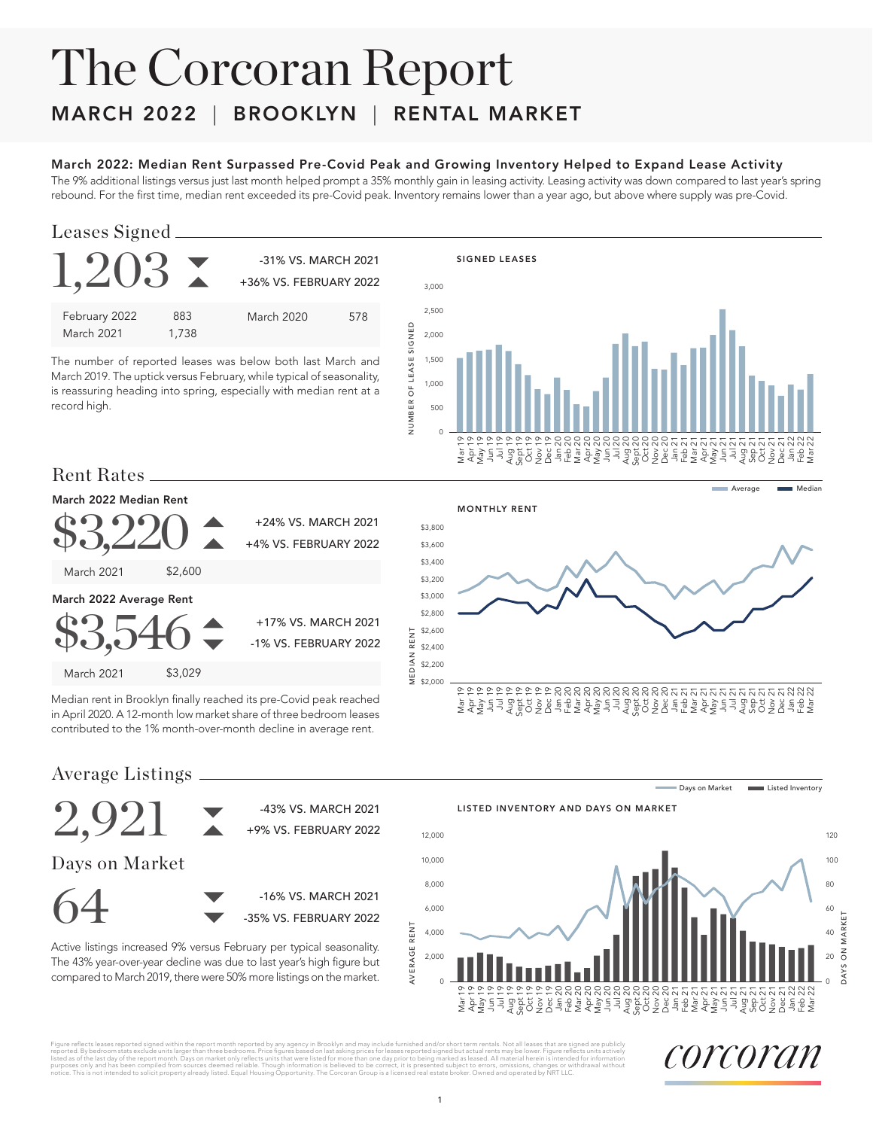# The Corcoran Report MARCH 2022 | BROOKLYN | RENTAL MARKET

#### March 2022: Median Rent Surpassed Pre-Covid Peak and Growing Inventory Helped to Expand Lease Activity

The 9% additional listings versus just last month helped prompt a 35% monthly gain in leasing activity. Leasing activity was down compared to last year's spring rebound. For the first time, median rent exceeded its pre-Covid peak. Inventory remains lower than a year ago, but above where supply was pre-Covid.

## Leases Signed

 $1,203$   $\sim$   $^{31\%}$  VS. MARCH 2021 +36% VS. FEBRUARY 2022 February 2022 March 2021 883 1,738 March 2020 578

The number of reported leases was below both last March and March 2019. The uptick versus February, while typical of seasonality, is reassuring heading into spring, especially with median rent at a record high.



# Rent Rates

#### March 2022 Median Rent



Median rent in Brooklyn finally reached its pre-Covid peak reached in April 2020. A 12-month low market share of three bedroom leases contributed to the 1% month-over-month decline in average rent.



Average Listings



The 43% year-over-year decline was due to last year's high figure but compared to March 2019, there were 50% more listings on the market.

Days on Market **Listed Inventory** 





Figure reflects leases reported signed within the report month reported by any agency in Brooklyn and may include furnished and/or short term rentals. Not all leases that are signed are publicly include furnished and of sh

corcoran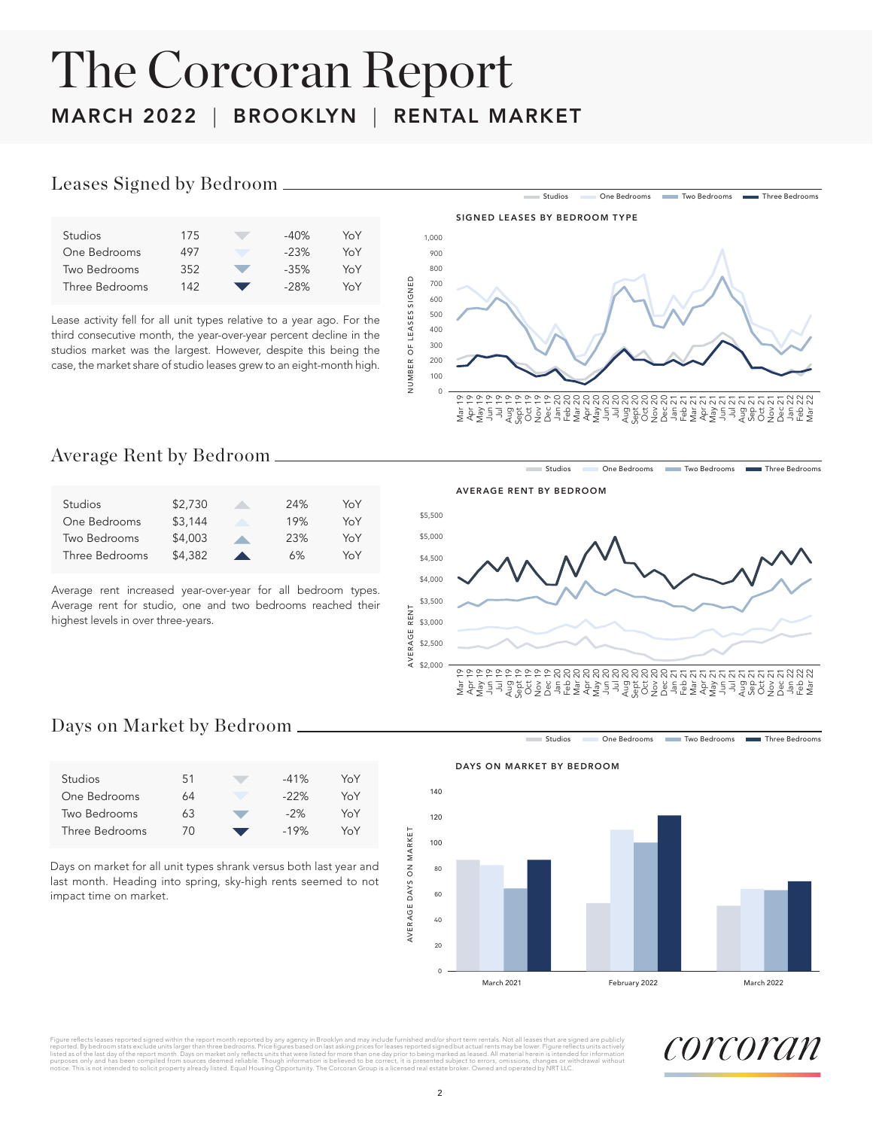# The Corcoran Report MARCH 2022 | BROOKLYN | RENTAL MARKET

#### Leases Signed by Bedroom

| <b>Studios</b> | 175 | $-40\%$ | YoY |  |
|----------------|-----|---------|-----|--|
| One Bedrooms   | 497 | $-23%$  | YoY |  |
| Two Bedrooms   | 352 | $-35%$  | YoY |  |
| Three Bedrooms | 142 | $-28%$  | YoY |  |
|                |     |         |     |  |

Lease activity fell for all unit types relative to a year ago. For the third consecutive month, the year-over-year percent decline in the studios market was the largest. However, despite this being the case, the market share of studio leases grew to an eight-month high.



Studios One Bedrooms Two Bedrooms Three Bedrooms

## Average Rent by Bedroom

| <b>Studios</b> | \$2,730 |                  | 24% | YoY |
|----------------|---------|------------------|-----|-----|
| One Bedrooms   | \$3,144 |                  | 19% | YoY |
| Two Bedrooms   | \$4,003 |                  | 23% | YoY |
| Three Bedrooms | \$4,382 | $\blacktriangle$ | 6%  | YoY |

Average rent increased year-over-year for all bedroom types. Average rent for studio, one and two bedrooms reached their highest levels in over three-years.

AVERAGE RENT BY BEDROOM

DAYS ON MARKET BY BEDROOM



# Days on Market by Bedroom

| <b>Studios</b> | 51 | $-41%$ | YoY |
|----------------|----|--------|-----|
| One Bedrooms   | 64 | $-22%$ | YoY |
| Two Bedrooms   | 63 | $-2%$  | YoY |
| Three Bedrooms | 70 | $-19%$ | YoY |
|                |    |        |     |

Days on market for all unit types shrank versus both last year and last month. Heading into spring, sky-high rents seemed to not impact time on market.

Studios **One Bedrooms** Two Bedrooms Three Bedrooms



Figure reflects leases reported signed within the report month reported by any agency in Brooklyn and may include furnished and/or short term rentals. Not all leases that are signed are publicly<br>reported. By bedroom state purposes only and has been compiled from sources deemd reliable. Though information is believed to be correct, it is presented subject to errors, omissions, changes or withdrawal without<br>notice. This is not intended to sol